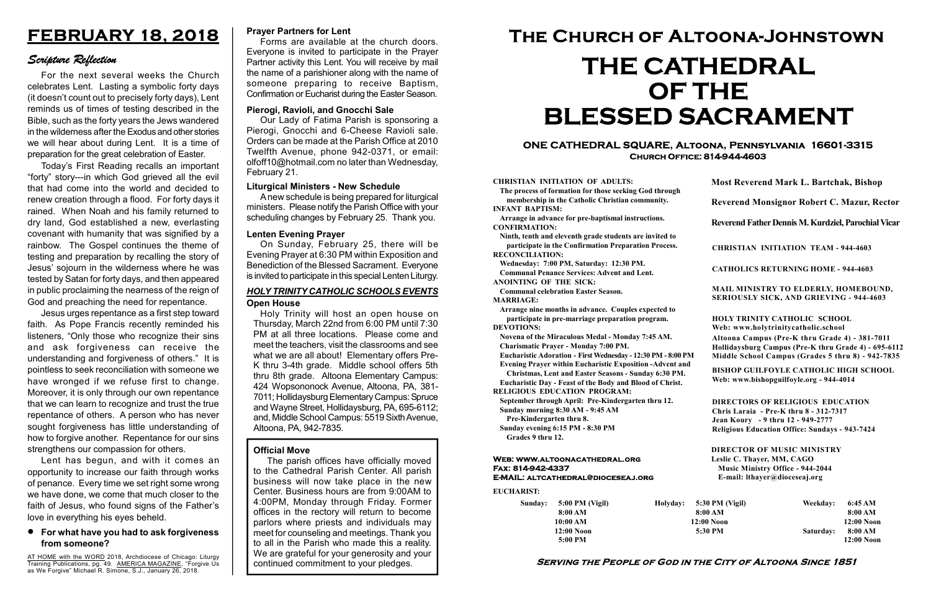#### Serving the People of God in the City of Altoona Since 1851

Sunday: 5:00 PM (Vigil) 8:00 AM 10:00 AM 12:00 Noon 5:00 PM

Holyday:

#### Web: www.altoonacathedral.org Fax: 814-942-4337 E-MAIL: altcathedral@dioceseaj.org

EUCHARIST:

#### CHRISTIAN INITIATION OF ADULTS:

The process of formation for those seeking God through membership in the Catholic Christian community. INFANT BAPTISM:

Arrange in advance for pre-baptismal instructions. CONFIRMATION:

Ninth, tenth and eleventh grade students are invited to participate in the Confirmation Preparation Process. RECONCILIATION:

Wednesday: 7:00 PM, Saturday: 12:30 PM. Communal Penance Services: Advent and Lent.

ANOINTING OF THE SICK:

Communal celebration Easter Season. MARRIAGE:

Arrange nine months in advance. Couples expected to participate in pre-marriage preparation program. DEVOTIONS:

Novena of the Miraculous Medal - Monday 7:45 AM.

Charismatic Prayer - Monday 7:00 PM. Eucharistic Adoration - First Wednesday - 12:30 PM - 8:00 PM

Evening Prayer within Eucharistic Exposition -Advent and

Christmas, Lent and Easter Seasons - Sunday 6:30 PM.

|                       | <b>Most Reverend Mark L. Bartchak, Bishop</b><br>Reverend Monsignor Robert C. Mazur, Rector                                                                                     |           |                         |
|-----------------------|---------------------------------------------------------------------------------------------------------------------------------------------------------------------------------|-----------|-------------------------|
|                       |                                                                                                                                                                                 |           |                         |
|                       | Reverend Father Dennis M. Kurdziel, Parochial Vicar                                                                                                                             |           |                         |
|                       | <b>CHRISTIAN INITIATION TEAM - 944-4603</b>                                                                                                                                     |           |                         |
|                       | <b>CATHOLICS RETURNING HOME - 944-4603</b>                                                                                                                                      |           |                         |
|                       | MAIL MINISTRY TO ELDERLY, HOMEBOUND,<br>SERIOUSLY SICK, AND GRIEVING - 944-4603                                                                                                 |           |                         |
|                       | <b>HOLY TRINITY CATHOLIC SCHOOL</b><br>Web: www.holytrinitycatholic.school                                                                                                      |           |                         |
| М                     | Altoona Campus (Pre-K thru Grade 4) - 381-7011<br>Hollidaysburg Campus (Pre-K thru Grade 4) - 695-6112<br>Middle School Campus (Grades 5 thru 8) - 942-7835                     |           |                         |
| ł                     | <b>BISHOP GUILFOYLE CATHOLIC HIGH SCHOOL</b><br>Web: www.bishopguilfoyle.org - 944-4014                                                                                         |           |                         |
|                       | <b>DIRECTORS OF RELIGIOUS EDUCATION</b><br>Chris Laraia - Pre-K thru 8 - 312-7317<br>Jean Koury - 9 thru 12 - 949-2777<br><b>Religious Education Office: Sundays - 943-7424</b> |           |                         |
|                       | <b>DIRECTOR OF MUSIC MINISTRY</b><br>Leslie C. Thayer, MM, CAGO<br><b>Music Ministry Office - 944-2044</b><br>E-mail: lthayer@dioceseaj.org                                     |           |                         |
| 5:30 PM (Vigil)       |                                                                                                                                                                                 | Weekday:  | 6:45 AM                 |
| 8:00 AM<br>12:00 Noon |                                                                                                                                                                                 |           | 8:00 AM<br>12:00 Noon   |
| 5:30 PM               |                                                                                                                                                                                 | Saturday: | 8:00 AM<br>$12:00$ Noon |
|                       |                                                                                                                                                                                 |           |                         |

Eucharistic Day - Feast of the Body and Blood of Christ. RELIGIOUS EDUCATION PROGRAM:

September through April: Pre-Kindergarten thru 12. Sunday morning 8:30 AM - 9:45 AM

Pre-Kindergarten thru 8.

Sunday evening 6:15 PM - 8:30 PM Grades 9 thru 12.

#### ONE CATHEDRAL SQUARE, Altoona, Pennsylvania 16601-3315 Church Office: 814-944-4603

# The Church of Altoona-Johnstown THE CATHEDRAL OF THE BLESSED SACRAMENT

#### HOLY TRINITY CATHOLIC SCHOOLS EVENTS Open House

AT HOME with the WORD 2018, Archdiocese of Chicago: Liturgy Training Publications, pg. 49. AMERICA MAGAZINE, "Forgive Us as We Forgive" Michael R. Simone, S.J., January 26, 2018.

Holy Trinity will host an open house on Thursday, March 22nd from 6:00 PM until 7:30 PM at all three locations. Please come and meet the teachers, visit the classrooms and see what we are all about! Elementary offers Pre-K thru 3-4th grade. Middle school offers 5th thru 8th grade. Altoona Elementary Campus: 424 Wopsononock Avenue, Altoona, PA, 381- 7011; Hollidaysburg Elementary Campus: Spruce and Wayne Street, Hollidaysburg, PA, 695-6112; and, Middle School Campus: 5519 Sixth Avenue, Altoona, PA, 942-7835.

## FEBRUARY 18, 2018

## Scripture Reflection

For the next several weeks the Church celebrates Lent. Lasting a symbolic forty days (it doesn't count out to precisely forty days), Lent reminds us of times of testing described in the Bible, such as the forty years the Jews wandered in the wilderness after the Exodus and other stories we will hear about during Lent. It is a time of preparation for the great celebration of Easter.

Today's First Reading recalls an important "forty" story---in which God grieved all the evil that had come into the world and decided to renew creation through a flood. For forty days it rained. When Noah and his family returned to dry land, God established a new, everlasting covenant with humanity that was signified by a rainbow. The Gospel continues the theme of testing and preparation by recalling the story of Jesus' sojourn in the wilderness where he was tested by Satan for forty days, and then appeared in public proclaiming the nearness of the reign of God and preaching the need for repentance.

Jesus urges repentance as a first step toward faith. As Pope Francis recently reminded his listeners, "Only those who recognize their sins and ask forgiveness can receive the understanding and forgiveness of others." It is pointless to seek reconciliation with someone we have wronged if we refuse first to change. Moreover, it is only through our own repentance that we can learn to recognize and trust the true repentance of others. A person who has never sought forgiveness has little understanding of how to forgive another. Repentance for our sins strengthens our compassion for others.

Lent has begun, and with it comes an opportunity to increase our faith through works of penance. Every time we set right some wrong we have done, we come that much closer to the faith of Jesus, who found signs of the Father's love in everything his eyes beheld.

#### For what have you had to ask forgiveness from someone?

#### Official Move

The parish offices have officially moved to the Cathedral Parish Center. All parish business will now take place in the new Center. Business hours are from 9:00AM to 4:00PM, Monday through Friday. Former offices in the rectory will return to become parlors where priests and individuals may meet for counseling and meetings. Thank you to all in the Parish who made this a reality. We are grateful for your generosity and your continued commitment to your pledges.

#### Pierogi, Ravioli, and Gnocchi Sale

Our Lady of Fatima Parish is sponsoring a Pierogi, Gnocchi and 6-Cheese Ravioli sale. Orders can be made at the Parish Office at 2010 Twelfth Avenue, phone 942-0371, or email: olfoff10@hotmail.com no later than Wednesday, February 21.

#### Prayer Partners for Lent

Forms are available at the church doors. Everyone is invited to participate in the Prayer Partner activity this Lent. You will receive by mail the name of a parishioner along with the name of someone preparing to receive Baptism, Confirmation or Eucharist during the Easter Season.

#### Liturgical Ministers - New Schedule

A new schedule is being prepared for liturgical ministers. Please notify the Parish Office with your scheduling changes by February 25. Thank you.

#### Lenten Evening Prayer

On Sunday, February 25, there will be Evening Prayer at 6:30 PM within Exposition and Benediction of the Blessed Sacrament. Everyone is invited to participate in this special Lenten Liturgy.